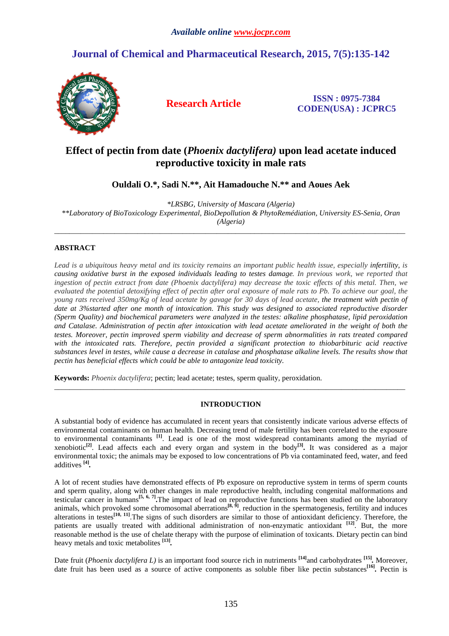# **Journal of Chemical and Pharmaceutical Research, 2015, 7(5):135-142**



**Research Article ISSN : 0975-7384 CODEN(USA) : JCPRC5**

# **Effect of pectin from date (***Phoenix dactylifera)* **upon lead acetate induced reproductive toxicity in male rats**

**Ouldali O.\*, Sadi N.\*\*, Ait Hamadouche N.\*\* and Aoues Aek** 

*\*LRSBG, University of Mascara (Algeria) \*\*Laboratory of BioToxicology Experimental, BioDepollution & PhytoRemédiation, University ES-Senia, Oran (Algeria)* 

\_\_\_\_\_\_\_\_\_\_\_\_\_\_\_\_\_\_\_\_\_\_\_\_\_\_\_\_\_\_\_\_\_\_\_\_\_\_\_\_\_\_\_\_\_\_\_\_\_\_\_\_\_\_\_\_\_\_\_\_\_\_\_\_\_\_\_\_\_\_\_\_\_\_\_\_\_\_\_\_\_\_\_\_\_\_\_\_\_\_\_\_\_

## **ABSTRACT**

*Lead is a ubiquitous heavy metal and its toxicity remains an important public health issue, especially infertility, is causing oxidative burst in the exposed individuals leading to testes damage. In previous work, we reported that ingestion of pectin extract from date (Phoenix dactylifera) may decrease the toxic effects of this metal. Then, we evaluated the potential detoxifying effect of pectin after oral exposure of male rats to Pb. To achieve our goal, the young rats received 350mg/Kg of lead acetate by gavage for 30 days of lead acetate, the treatment with pectin of date at 3%started after one month of intoxication. This study was designed to associated reproductive disorder (Sperm Quality) and biochemical parameters were analyzed in the testes: alkaline phosphatase, lipid peroxidation and Catalase. Administration of pectin after intoxication with lead acetate ameliorated in the weight of both the testes. Moreover, pectin improved sperm viability and decrease of sperm abnormalities in rats treated compared with the intoxicated rats. Therefore, pectin provided a significant protection to thiobarbituric acid reactive substances level in testes, while cause a decrease in catalase and phosphatase alkaline levels. The results show that pectin has beneficial effects which could be able to antagonize lead toxicity.* 

**Keywords:** *Phoenix dactylifera*; pectin; lead acetate; testes, sperm quality, peroxidation.

#### **INTRODUCTION**

\_\_\_\_\_\_\_\_\_\_\_\_\_\_\_\_\_\_\_\_\_\_\_\_\_\_\_\_\_\_\_\_\_\_\_\_\_\_\_\_\_\_\_\_\_\_\_\_\_\_\_\_\_\_\_\_\_\_\_\_\_\_\_\_\_\_\_\_\_\_\_\_\_\_\_\_\_\_\_\_\_\_\_\_\_\_\_\_\_\_\_\_\_

A substantial body of evidence has accumulated in recent years that consistently indicate various adverse effects of environmental contaminants on human health. Decreasing trend of male fertility has been correlated to the exposure to environmental contaminants **[1]**. Lead is one of the most widespread contaminants among the myriad of xenobiotic**[2]**. Lead affects each and every organ and system in the body**[3] .** It was considered as a major environmental toxic; the animals may be exposed to low concentrations of Pb via contaminated feed, water, and feed additives **[4]** *.* 

A lot of recent studies have demonstrated effects of Pb exposure on reproductive system in terms of sperm counts and sperm quality, along with other changes in male reproductive health, including congenital malformations and testicular cancer in humans**[5, 6, 7] .**The impact of lead on reproductive functions has been studied on the laboratory animals, which provoked some chromosomal aberrations<sup>[8, 9]</sup>, reduction in the spermatogenesis, fertility and induces alterations in testes<sup>[10, 11]</sup>. The signs of such disorders are similar to those of antioxidant deficiency. Therefore, the patients are usually treated with additional administration of non-enzymatic antioxidant **[12]**. But, the more reasonable method is the use of chelate therapy with the purpose of elimination of toxicants. Dietary pectin can bind heavy metals and toxic metabolites **[13]** *.*

Date fruit (*Phoenix dactylifera L)* is an important food source rich in nutriments **[14]**and carbohydrates **[15]** *.* Moreover, date fruit has been used as a source of active components as soluble fiber like pectin substances<sup>[16]</sup>. Pectin is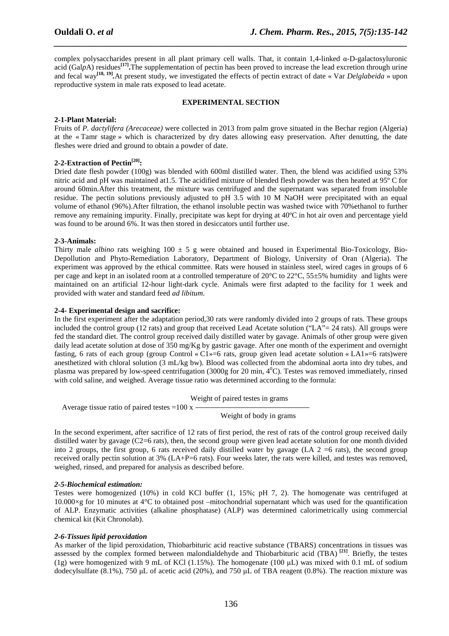complex polysaccharides present in all plant primary cell walls. That, it contain 1,4-linked α-D-galactosyluronic acid (Gal*p*A) residues**[17] .**The supplementation of pectin has been proved to increase the lead excretion through urine and fecal way<sup>[18, 19]</sup>. At present study, we investigated the effects of pectin extract of date « Var *Delglabeida* » upon reproductive system in male rats exposed to lead acetate.

*\_\_\_\_\_\_\_\_\_\_\_\_\_\_\_\_\_\_\_\_\_\_\_\_\_\_\_\_\_\_\_\_\_\_\_\_\_\_\_\_\_\_\_\_\_\_\_\_\_\_\_\_\_\_\_\_\_\_\_\_\_\_\_\_\_\_\_\_\_\_\_\_\_\_\_\_\_\_*

#### **EXPERIMENTAL SECTION**

### **2-1-Plant Material:**

Fruits of *P. dactylifera (Arecaceae)* were collected in 2013 from palm grove situated in the Bechar region (Algeria) at the « Tamr stage » which is characterized by dry dates allowing easy preservation. After denutting, the date fleshes were dried and ground to obtain a powder of date.

## **2-2-Extraction of Pectin[20]:**

Dried date flesh powder (100g) was blended with 600ml distilled water. Then, the blend was acidified using 53% nitric acid and pH was maintained at1.5. The acidified mixture of blended flesh powder was then heated at 95º C for around 60min.After this treatment, the mixture was centrifuged and the supernatant was separated from insoluble residue. The pectin solutions previously adjusted to pH 3.5 with 10 M NaOH were precipitated with an equal volume of ethanol (96%).After filtration, the ethanol insoluble pectin was washed twice with 70%ethanol to further remove any remaining impurity. Finally, precipitate was kept for drying at 40ºC in hot air oven and percentage yield was found to be around 6%. It was then stored in desiccators until further use.

#### **2-3-Animals:**

Thirty male *albino* rats weighing  $100 \pm 5$  g were obtained and housed in Experimental Bio-Toxicology, Bio-Depollution and Phyto-Remediation Laboratory, Department of Biology, University of Oran (Algeria). The experiment was approved by the ethical committee. Rats were housed in stainless steel, wired cages in groups of 6 per cage and kept in an isolated room at a controlled temperature of 20 $^{\circ}$ C to 22 $^{\circ}$ C, 55 $\pm$ 5% humidity and lights were maintained on an artificial 12-hour light-dark cycle. Animals were first adapted to the facility for 1 week and provided with water and standard feed *ad libitum.*

### **2-4- Experimental design and sacrifice:**

In the first experiment after the adaptation period,30 rats were randomly divided into 2 groups of rats. These groups included the control group (12 rats) and group that received Lead Acetate solution ("LA"= 24 rats). All groups were fed the standard diet. The control group received daily distilled water by gavage. Animals of other group were given daily lead acetate solution at dose of 350 mg/Kg by gastric gavage. After one month of the experiment and overnight fasting, 6 rats of each group (group Control «  $C1$  »=6 rats, group given lead acetate solution «  $LA1$  »=6 rats)were anesthetized with chloral solution (3 mL/kg bw). Blood was collected from the abdominal aorta into dry tubes, and plasma was prepared by low-speed centrifugation (3000g for 20 min,  $4^{\circ}$ C). Testes was removed immediately, rinsed with cold saline, and weighed. Average tissue ratio was determined according to the formula:

Weight of paired testes in grams

Average tissue ratio of paired testes =100  $x -$ 

Weight of body in grams

In the second experiment, after sacrifice of 12 rats of first period, the rest of rats of the control group received daily distilled water by gavage (C2=6 rats), then, the second group were given lead acetate solution for one month divided into 2 groups, the first group, 6 rats received daily distilled water by gavage (LA  $2 = 6$  rats), the second group received orally pectin solution at 3% (LA+P=6 rats). Four weeks later, the rats were killed, and testes was removed, weighed, rinsed, and prepared for analysis as described before.

#### *2-5-Biochemical estimation:*

Testes were homogenized (10%) in cold KCl buffer (1, 15%; pH 7, 2). The homogenate was centrifuged at 10.000×g for 10 minutes at 4°C to obtained post –mitochondrial supernatant which was used for the quantification of ALP. Enzymatic activities (alkaline phosphatase) (ALP) was determined calorimetrically using commercial chemical kit (Kit Chronolab).

## *2-6-Tissues lipid peroxidation*

As marker of the lipid peroxidation, Thiobarbituric acid reactive substance (TBARS) concentrations in tissues was assessed by the complex formed between malondialdehyde and Thiobarbituric acid (TBA) **[21]**. Briefly, the testes (1g) were homogenized with 9 mL of KCl (1.15%). The homogenate (100  $\mu$ L) was mixed with 0.1 mL of sodium dodecylsulfate (8.1%), 750 µL of acetic acid (20%), and 750 µL of TBA reagent (0.8%). The reaction mixture was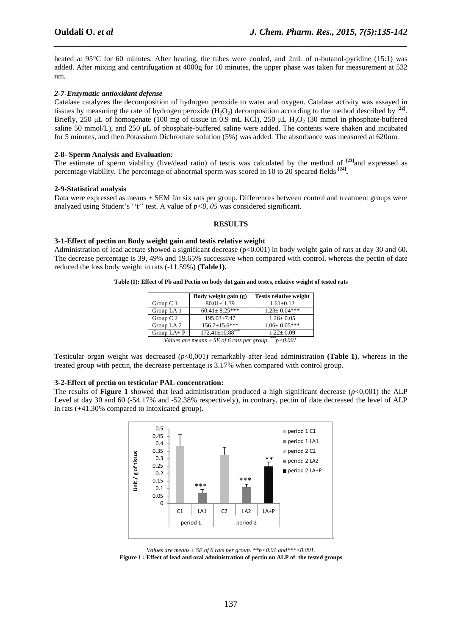heated at 95<sup>°</sup>C for 60 minutes. After heating, the tubes were cooled, and 2mL of n-butanol-pyridine (15:1) was added. After mixing and centrifugation at 4000g for 10 minutes, the upper phase was taken for measurement at 532 nm.

*\_\_\_\_\_\_\_\_\_\_\_\_\_\_\_\_\_\_\_\_\_\_\_\_\_\_\_\_\_\_\_\_\_\_\_\_\_\_\_\_\_\_\_\_\_\_\_\_\_\_\_\_\_\_\_\_\_\_\_\_\_\_\_\_\_\_\_\_\_\_\_\_\_\_\_\_\_\_*

#### *2-7-Enzymatic antioxidant defense*

Catalase catalyzes the decomposition of hydrogen peroxide to water and oxygen. Catalase activity was assayed in tissues by measuring the rate of hydrogen peroxide  $(H_2O_2)$  decomposition according to the method described by  $[22]$ . Briefly, 250 µL of homogenate (100 mg of tissue in 0.9 mL KCl), 250 µL H<sub>2</sub>O<sub>2</sub> (30 mmol in phosphate-buffered saline 50 mmol/L), and 250 µL of phosphate-buffered saline were added. The contents were shaken and incubated for 5 minutes, and then Potassium Dichromate solution (5%) was added. The absorbance was measured at 620nm.

#### **2-8- Sperm Analysis and Evaluation***:*

The estimate of sperm viability (live/dead ratio) of testis was calculated by the method of **[23]**and expressed as percentage viability. The percentage of abnormal sperm was scored in 10 to 20 speared fields **[24] .** 

#### **2-9-Statistical analysis**

Data were expressed as means  $\pm$  SEM for six rats per group. Differences between control and treatment groups were analyzed using Student's "t" test. A value of  $p<0$ , 05 was considered significant.

#### **RESULTS**

#### **3-1-Effect of pectin on Body weight gain and testis relative weight**

Administration of lead acetate showed a significant decrease ( $p<0.001$ ) in body weight gain of rats at day 30 and 60. The decrease percentage is 39, 49% and 19.65% successive when compared with control, whereas the pectin of date reduced the loss body weight in rats (-11.59%) **(Table1).** 

|  |  |  |  |  |  |  | Table (1): Effect of Pb and Pectin on body dot gain and testes, relative weight of tested rats |  |
|--|--|--|--|--|--|--|------------------------------------------------------------------------------------------------|--|
|  |  |  |  |  |  |  |                                                                                                |  |

|              | Body weight gain (g)   | <b>Testis relative weight</b> |
|--------------|------------------------|-------------------------------|
| Group $C1$   | $80.01 \pm 1.39$       | $1.61 \pm 0.12$               |
| Group LA 1   | $60.41 \pm 8.25$ ***   | $1.23 \pm 0.04***$            |
| Group $C2$   | $195.03 + 7.47$        | $1.26 \pm 0.05$               |
| Group LA 2   | $156.7 \pm 15.6$ ***   | $1.06 \pm 0.05***$            |
| Group $LA+P$ | $172.41 \pm 10.88$ *** | $1.22 + 0.09$                 |

*Values are means*  $\pm$  *SE of 6 rats per group.* \*\*\**p*<0.001.

Testicular organ weight was decreased (*p*<0,001) remarkably after lead administration **(Table 1)**, whereas in the treated group with pectin, the decrease percentage is 3.17% when compared with control group.

#### **3-2-Effect of pectin on testicular PAL concentration:**

The results of **Figure 1** showed that lead administration produced a high significant decrease (*p*<0,001) the ALP Level at day 30 and 60 (-54.17% and -52.38% respectively), in contrary, pectin of date decreased the level of ALP in rats (+41,30% compared to intoxicated group).



*Values are means ± SE of 6 rats per group. \*\*p<0.01 and\*\*\*<0.001.* 

**Figure 1 : Effect of lead and oral administration of pectin on ALP of the tested groups**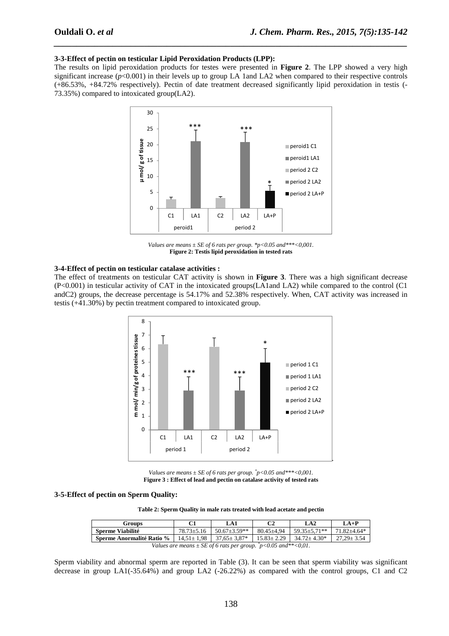#### **3-3-Effect of pectin on testicular Lipid Peroxidation Products (LPP):**

The results on lipid peroxidation products for testes were presented in **Figure 2**. The LPP showed a very high significant increase  $(p<0.001)$  in their levels up to group LA 1and LA2 when compared to their respective controls (+86.53%, +84.72% respectively). Pectin of date treatment decreased significantly lipid peroxidation in testis (- 73.35%) compared to intoxicated group(LA2).

*\_\_\_\_\_\_\_\_\_\_\_\_\_\_\_\_\_\_\_\_\_\_\_\_\_\_\_\_\_\_\_\_\_\_\_\_\_\_\_\_\_\_\_\_\_\_\_\_\_\_\_\_\_\_\_\_\_\_\_\_\_\_\_\_\_\_\_\_\_\_\_\_\_\_\_\_\_\_*



*Values are means ± SE of 6 rats per group. \*p<0.05 and\*\*\*<0,001.*  **Figure 2: Testis lipid peroxidation in tested rats** 

#### **3-4-Effect of pectin on testicular catalase activities :**

The effect of treatments on testicular CAT activity is shown in **Figure 3**. There was a high significant decrease (P<0.001) in testicular activity of CAT in the intoxicated groups(LA1and LA2) while compared to the control (C1 andC2) groups, the decrease percentage is 54.17% and 52.38% respectively. When, CAT activity was increased in testis (+41.30%) by pectin treatment compared to intoxicated group.



*Values are means*  $\pm$  *SE of 6 rats per group.*  $\degree$ *p*<0.05 *and*\*\*\*<0,001. **Figure 3 : Effect of lead and pectin on catalase activity of tested rats** 

#### **3-5-Effect of pectin on Sperm Quality:**

**Table 2: Sperm Quality in male rats treated with lead acetate and pectin** 

| <b>Groups</b>                                                              | C1             | LA1                | C <sub>2</sub> | LA2                                    | $LA+P$           |  |  |  |
|----------------------------------------------------------------------------|----------------|--------------------|----------------|----------------------------------------|------------------|--|--|--|
| Sperme Viabilité                                                           | $78.73 + 5.16$ | $1.50.67 + 3.59**$ | 80.45+4.94     | $1,59.35 \pm 5.71**$ 71.82 $\pm 4.64*$ |                  |  |  |  |
| <b>Sperme Anormalité Ratio %</b>   $14.51 \pm 1.98$   $37.65 \pm 3.87$ *   |                |                    |                | $15.83 \pm 2.29$ 1 $34.72 \pm 4.30^*$  | $27.29 \pm 3.54$ |  |  |  |
| Values are means $\pm$ SE of 6 rats per group. $\bar{p}$ <0.05 and**<0,01. |                |                    |                |                                        |                  |  |  |  |

Sperm viability and abnormal sperm are reported in Table (3). It can be seen that sperm viability was significant decrease in group LA1(-35.64%) and group LA2 (-26.22%) as compared with the control groups, C1 and C2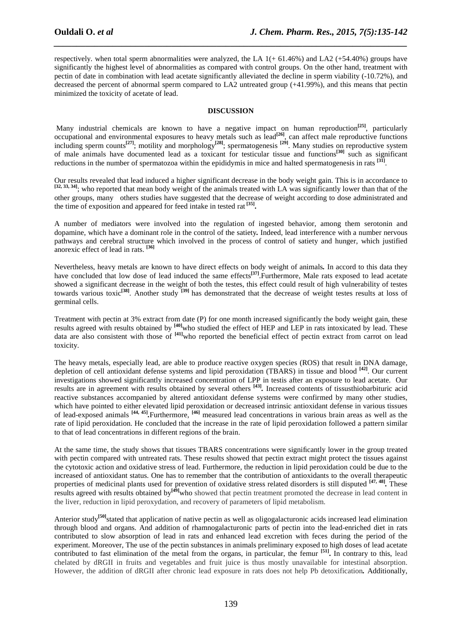respectively. when total sperm abnormalities were analyzed, the LA  $1(+ 61.46%)$  and LA2  $(+54.40%)$  groups have significantly the highest level of abnormalities as compared with control groups. On the other hand, treatment with pectin of date in combination with lead acetate significantly alleviated the decline in sperm viability (-10.72%), and decreased the percent of abnormal sperm compared to LA2 untreated group (+41.99%), and this means that pectin minimized the toxicity of acetate of lead.

*\_\_\_\_\_\_\_\_\_\_\_\_\_\_\_\_\_\_\_\_\_\_\_\_\_\_\_\_\_\_\_\_\_\_\_\_\_\_\_\_\_\_\_\_\_\_\_\_\_\_\_\_\_\_\_\_\_\_\_\_\_\_\_\_\_\_\_\_\_\_\_\_\_\_\_\_\_\_*

#### **DISCUSSION**

 Many industrial chemicals are known to have a negative impact on human reproduction**[25]**, particularly occupational and environmental exposures to heavy metals such as lead**[26]**, can affect male reproductive functions including sperm counts**[27]**; motility and morphology**[28]**; spermatogenesis **[29]**. Many studies on reproductive system of male animals have documented lead as a toxicant for testicular tissue and functions**[30]** such as significant reductions in the number of spermatozoa within the epididymis in mice and halted spermatogenesis in rats <sup>[31]</sup>.

Our results revealed that lead induced a higher significant decrease in the body weight gain. This is in accordance to [32, 33, 34]; who reported that mean body weight of the animals treated with LA was significantly lower than that of the other groups, many others studies have suggested that the decrease of weight according to dose administrated and the time of exposition and appeared for feed intake in tested rat **[35] .** 

A number of mediators were involved into the regulation of ingested behavior, among them serotonin and dopamine, which have a dominant role in the control of the satiety*.* Indeed, lead interference with a number nervous pathways and cerebral structure which involved in the process of control of satiety and hunger, which justified anorexic effect of lead in rats. **[36]** 

Nevertheless, heavy metals are known to have direct effects on body weight of animals*.* In accord to this data they have concluded that low dose of lead induced the same effects<sup>[37]</sup>. Furthermore, Male rats exposed to lead acetate showed a significant decrease in the weight of both the testes, this effect could result of high vulnerability of testes towards various toxic**[38]**. Another study **[39]** has demonstrated that the decrease of weight testes results at loss of germinal cells.

Treatment with pectin at 3% extract from date (P) for one month increased significantly the body weight gain, these results agreed with results obtained by **[40]**who studied the effect of HEP and LEP in rats intoxicated by lead. These data are also consistent with those of **[41]**who reported the beneficial effect of pectin extract from carrot on lead toxicity.

The heavy metals, especially lead, are able to produce reactive oxygen species (ROS) that result in DNA damage, depletion of cell antioxidant defense systems and lipid peroxidation (TBARS) in tissue and blood **[42]**. Our current investigations showed significantly increased concentration of LPP in testis after an exposure to lead acetate. Our results are in agreement with results obtained by several others **[43]** *.* Increased contents of tissusthiobarbituric acid reactive substances accompanied by altered antioxidant defense systems were confirmed by many other studies, which have pointed to either elevated lipid peroxidation or decreased intrinsic antioxidant defense in various tissues of lead-exposed animals **[44, 45]** *.*Furthermore, **[46]** measured lead concentrations in various brain areas as well as the rate of lipid peroxidation. He concluded that the increase in the rate of lipid peroxidation followed a pattern similar to that of lead concentrations in different regions of the brain.

At the same time, the study shows that tissues TBARS concentrations were significantly lower in the group treated with pectin compared with untreated rats. These results showed that pectin extract might protect the tissues against the cytotoxic action and oxidative stress of lead. Furthermore, the reduction in lipid peroxidation could be due to the increased of antioxidant status. One has to remember that the contribution of antioxidants to the overall therapeutic properties of medicinal plants used for prevention of oxidative stress related disorders is still disputed **[47, 48]** *.* These results agreed with results obtained by**[49]**who showed that pectin treatment promoted the decrease in lead content in the liver, reduction in lipid peroxydation, and recovery of parameters of lipid metabolism.

Anterior study<sup>[50]</sup>stated that application of native pectin as well as oligogalacturonic acids increased lead elimination through blood and organs. And addition of rhamnogalacturonic parts of pectin into the lead-enriched diet in rats contributed to slow absorption of lead in rats and enhanced lead excretion with feces during the period of the experiment. Moreover, The use of the pectin substances in animals preliminary exposed to high doses of lead acetate contributed to fast elimination of the metal from the organs, in particular, the femur **[51] .** In contrary to this, lead chelated by dRGII in fruits and vegetables and fruit juice is thus mostly unavailable for intestinal absorption. However, the addition of dRGII after chronic lead exposure in rats does not help Pb detoxification*.* Additionally,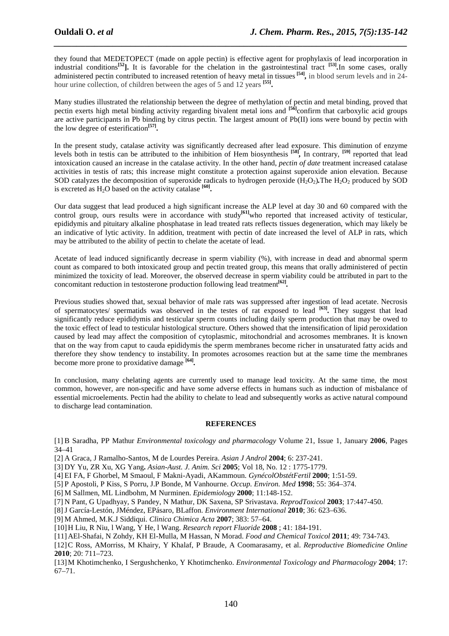they found that MEDETOPECT (made on apple pectin) is effective agent for prophylaxis of lead incorporation in industrial conditions<sup>[52</sup>]. It is favorable for the chelation in the gastrointestinal tract <sup>[53]</sup>. In some cases, orally administered pectin contributed to increased retention of heavy metal in tissues <sup>[54]</sup>, in blood serum levels and in 24hour urine collection, of children between the ages of 5 and 12 years **[55] .** 

*\_\_\_\_\_\_\_\_\_\_\_\_\_\_\_\_\_\_\_\_\_\_\_\_\_\_\_\_\_\_\_\_\_\_\_\_\_\_\_\_\_\_\_\_\_\_\_\_\_\_\_\_\_\_\_\_\_\_\_\_\_\_\_\_\_\_\_\_\_\_\_\_\_\_\_\_\_\_*

Many studies illustrated the relationship between the degree of methylation of pectin and metal binding, proved that pectin exerts high metal binding activity regarding bivalent metal ions and **[56]**confirm that carboxylic acid groups are active participants in Pb binding by citrus pectin. The largest amount of Pb(II) ions were bound by pectin with the low degree of esterification**[57] .** 

In the present study, catalase activity was significantly decreased after lead exposure. This diminution of enzyme levels both in testis can be attributed to the inhibition of Hem biosynthesis <sup>[58]</sup>, In contrary, <sup>[59]</sup> reported that lead intoxication caused an increase in the catalase activity. In the other hand, *pectin of date* treatment increased catalase activities in testis of rats; this increase might constitute a protection against superoxide anion elevation. Because SOD catalyzes the decomposition of superoxide radicals to hydrogen peroxide  $(H_2O_2)$ . The  $H_2O_2$  produced by SOD is excreted as  $H_2O$  based on the activity catalase  $[60]$ .

Our data suggest that lead produced a high significant increase the ALP level at day 30 and 60 compared with the control group, ours results were in accordance with study<sup>[61]</sup>who reported that increased activity of testicular, epididymis and pituitary alkaline phosphatase in lead treated rats reflects tissues degeneration, which may likely be an indicative of lytic activity. In addition, treatment with pectin of date increased the level of ALP in rats, which may be attributed to the ability of pectin to chelate the acetate of lead.

Acetate of lead induced significantly decrease in sperm viability (%), with increase in dead and abnormal sperm count as compared to both intoxicated group and pectin treated group, this means that orally administered of pectin minimized the toxicity of lead. Moreover, the observed decrease in sperm viability could be attributed in part to the concomitant reduction in testosterone production following lead treatment<sup>[62]</sup>.

Previous studies showed that, sexual behavior of male rats was suppressed after ingestion of lead acetate. Necrosis of spermatocytes/ spermatids was observed in the testes of rat exposed to lead **[63]** *.* They suggest that lead significantly reduce epididymis and testicular sperm counts including daily sperm production that may be owed to the toxic effect of lead to testicular histological structure. Others showed that the intensification of lipid peroxidation caused by lead may affect the composition of cytoplasmic, mitochondrial and acrosomes membranes. It is known that on the way from caput to cauda epididymis the sperm membranes become richer in unsaturated fatty acids and therefore they show tendency to instability. In promotes acrosomes reaction but at the same time the membranes become more prone to proxidative damage **[64]** *.* 

In conclusion, many chelating agents are currently used to manage lead toxicity. At the same time, the most common, however, are non-specific and have some adverse effects in humans such as induction of misbalance of essential microelements. Pectin had the ability to chelate to lead and subsequently works as active natural compound to discharge lead contamination.

#### **REFERENCES**

[1] B Saradha, PP Mathur *Environmental toxicology and pharmacology* Volume 21, Issue 1, January **2006**, Pages 34–41

[2] A Graca, J Ramalho-Santos, M de Lourdes Pereira. *Asian J Androl* **2004**; 6: 237-241.

[3] DY Yu, ZR Xu, XG Yang**.** *Asian-Aust. J. Anim. Sci* **2005**; Vol 18, No. 12 : 1775-1779.

[4] EI FA, F Ghorbel, M Smaoul, F Makni-Ayadi, AKammoun. *GynécolObstétFertil* **2000**; 1:51-59.

[5] P Apostoli, P Kiss, S Porru, J.P Bonde, M Vanhourne. *Occup. Environ. Med* **1998**; 55: 364–374.

[6] M Sallmen, ML Lindbohm, M Nurminen. *Epidemiology* **2000**; 11:148-152.

[7] N Pant, G Upadhyay, S Pandey, N Mathur, DK Saxena, SP Srivastava. *ReprodToxicol* **2003**; 17:447-450.

[8]J García-Lestón, JMéndez, EPásaro, BLaffon. *Environment International* **2010**; 36: 623–636.

[9] M Ahmed, M.K.J Siddiqui. *Clinica Chimica Acta* **2007**; 383: 57–64.

[10]H Liu, R Niu, l Wang, Y He, l Wang. *Research report Fluoride* **2008** ; 41: 184-191.

[11]AEl-Shafai, N Zohdy, KH El-Mulla, M Hassan, N Morad. *Food and Chemical Toxicol* **2011**; 49: 734-743.

[12]C Ross, AMorriss, M Khairy, Y Khalaf, P Braude, A Coomarasamy, et al. *Reproductive Biomedicine Online* **2010**; 20: 711–723.

[13]M Khotimchenko, I Sergushchenko, Y Khotimchenko. *Environmental Toxicology and Pharmacology* **2004**; 17: 67–71.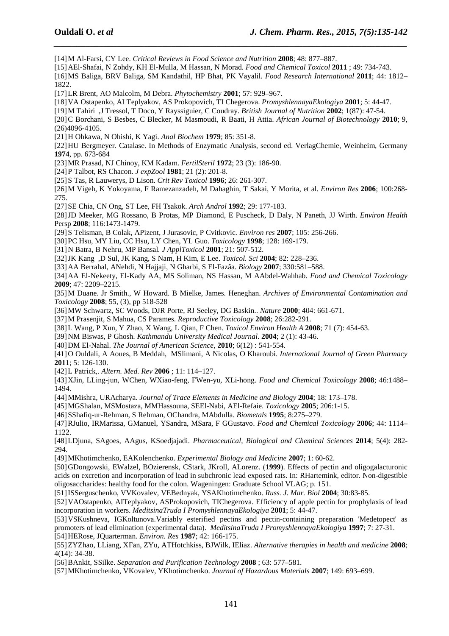[14]M Al-Farsi, CY Lee. *Critical Reviews in Food Science and Nutrition* **2008**; 48: 877–887.

[15]AEl-Shafai, N Zohdy, KH El-Mulla, M Hassan, N Morad. *Food and Chemical Toxicol* **2011** ; 49: 734-743.

[16]MS Baliga, BRV Baliga, SM Kandathil, HP Bhat, PK Vayalil. *Food Research International* **2011**; 44: 1812– 1822.

*\_\_\_\_\_\_\_\_\_\_\_\_\_\_\_\_\_\_\_\_\_\_\_\_\_\_\_\_\_\_\_\_\_\_\_\_\_\_\_\_\_\_\_\_\_\_\_\_\_\_\_\_\_\_\_\_\_\_\_\_\_\_\_\_\_\_\_\_\_\_\_\_\_\_\_\_\_\_*

[17]LR Brent, AO Malcolm, M Debra. *Phytochemistry* **2001**; 57: 929–967.

[18]VA Ostapenko, AI Teplyakov, AS Prokopovich, TI Chegerova. *PromyshlennayaEkologiya* **2001**; 5: 44-47.

[19]M Tahiri ,J Tressol, T Doco, Y Rayssiguier, C Coudray. *British Journal of Nutrition* **2002**; 1(87): 47-54.

[20]C Borchani, S Besbes, C Blecker, M Masmoudi, R Baati, H Attia. *African Journal of Biotechnology* **2010**; 9, (26)4096-4105.

[21]H Ohkawa, N Ohishi, K Yagi. *Anal Biochem* **1979**; 85: 351-8.

[22]HU Bergmeyer. Catalase. In Methods of Enzymatic Analysis, second ed. VerlagChemie, Weinheim, Germany **1974**, pp. 673-684

[23]MR Prasad, NJ Chinoy, KM Kadam. *FertilSteril* **1972**; 23 (3): 186-90.

[24]P Talbot, RS Chacon. *J expZool* **1981**; 21 (2): 201-8.

[25]S Tas, R Lauwerys, D Lison. *Crit Rev Toxicol* **1996**; 26: 261-307.

[26]M Vigeh, K Yokoyama, F Ramezanzadeh, M Dahaghin, T Sakai, Y Morita, et al. *Environ Res* **2006**; 100:268- 275.

[27]SE Chia, CN Ong, ST Lee, FH Tsakok. *Arch Androl* **1992**; 29: 177-183.

[28]JD Meeker, MG Rossano, B Protas, MP Diamond, E Puscheck, D Daly, N Paneth, JJ Wirth. *Environ Health* Persp **2008**; 116:1473-1479.

[29]S Telisman, B Colak, APizent, J Jurasovic, P Cvitkovic*. Environ res* **2007**; 105: 256-266.

[30]PC Hsu, MY Liu, CC Hsu, LY Chen, YL Guo. *Toxicology* **1998**; 128: 169-179.

[31]N Batra, B Nehru, MP Bansal*. J ApplToxicol* **2001**; 21: 507-512.

[32]JK Kang ,D Sul, JK Kang, S Nam, H Kim, E Lee. *Toxicol. Sci* **2004**; 82: 228–236.

[33]AA Berrahal, ANehdi, N Hajjaji, N Gharbi, S El-Fazâa. *Biology* **2007**; 330:581–588.

[34]AA El-Nekeety, El-Kady AA, MS Soliman, NS Hassan, M AAbdel-Wahhab. *Food and Chemical Toxicology* **2009**; 47: 2209–2215.

[35]M Duane. Jr Smith., W Howard. B Mielke, James. Heneghan. *Archives of Environmental Contamination and Toxicology* **2008**; 55, (3), pp 518-528

[36]MW Schwartz, SC Woods, DJR Porte, RJ Seeley, DG Baskin.. *Nature* **2000**; 404: 661-671.

[37]M Prasenjit, S Mahua, CS Parames. *Reproductive Toxicology* **2008**; 26:282-291.

[38]L Wang, P Xun, Y Zhao, X Wang, L Qian, F Chen. *Toxicol Environ Health A* **2008**; 71 (7): 454-63.

[39]NM Biswas, P Ghosh. *Kathmandu University Medical Journal*. **2004**; 2 (1): 43-46.

[40]DM El-Nahal. *The Journal of American Science*, **2010**; 6(12) : 541-554.

[41]O Ouldali, A Aoues, B Meddah, MSlimani, A Nicolas, O Kharoubi. *International Journal of Green Pharmacy* **2011**; 5: 126-130.

[42]L Patrick,. *Altern. Med. Rev* **2006** ; 11: 114–127.

[43]XJin, LLing-jun, WChen, WXiao-feng, FWen-yu, XLi-hong. *Food and Chemical Toxicology* **2008**; 46:1488– 1494.

[44]MMishra, URAcharya. *Journal of Trace Elements in Medicine and Biology* **2004**; 18: 173–178.

[45]MGShalan, MSMostaza, MMHassouna, SEEl-Nabi, AEl-Refaie. *Toxicology* **2005**; 206:1-15.

[46]SShafiq-ur-Rehman, S Rehman, OChandra, MAbdulla. *Biometals* **1995**; 8:275–279.

[47]RJulio, IRMarissa, GManuel, YSandra, MSara, F GGustavo. *Food and Chemical Toxicology* **2006**; 44: 1114– 1122.

[48]LDjuna, SAgoes, AAgus, KSoedjajadi. *Pharmaceutical, Biological and Chemical Sciences* **2014**; 5(4): 282- 294.

[49]MKhotimchenko, EAKolenchenko. *Experimental Biology and Medicine* **2007**; 1: 60-62.

[50]GDongowski, EWalzel, BOzierensk, CStark, JKroll, ALorenz. (**1999**). Effects of pectin and oligogalacturonic acids on excretion and incorporation of lead in subchronic lead exposed rats. In: RHartemink, editor. Non-digestible oligosaccharides: healthy food for the colon. Wageningen: Graduate School VLAG; p. 151.

[51]ISSerguschenko, VVKovalev, VEBednyak, YSAKhotimchenko. *Russ. J. Mar. Biol* **2004**; 30:83-85.

[52]VAOstapenko, AITeplyakov, ASProkopovich, TIChegerova. Efficiency of apple pectin for prophylaxis of lead incorporation in workers. *MeditsinaTruda I PromyshlennayaEkologiya* **2001**; 5: 44-47.

[53]VSKushneva, IGKoltunova.Variably esterified pectins and pectin-containing preparation 'Medetopect' as promoters of lead elimination (experimental data). *MeditsinaTruda I PromyshlennayaEkologiya* **1997**; 7: 27-31.

[54]HERose, JQuarterman. *Environ. Res* **1987**; 42: 166-175.

[55]ZYZhao, LLiang, XFan, ZYu, ATHotchkiss, BJWilk, IEliaz. *Alternative therapies in health and medicine* **2008**; 4(14): 34-38.

[56]BAnkit, SSilke. *Separation and Purification Technology* **2008** ; 63: 577–581.

[57]MKhotimchenko, VKovalev, YKhotimchenko. *Journal of Hazardous Materials* **2007**; 149: 693–699.